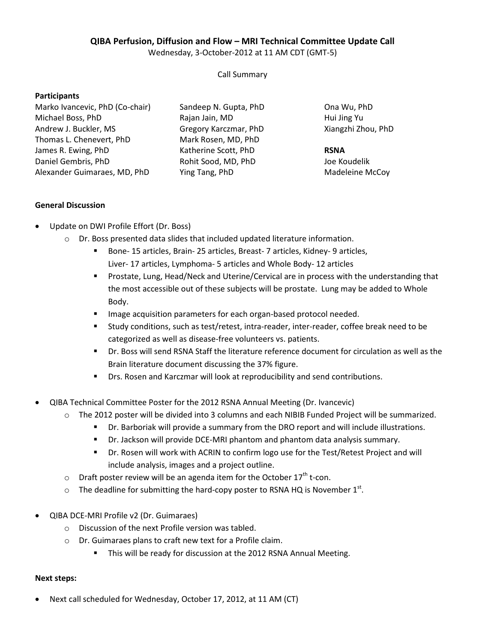# **QIBA Perfusion, Diffusion and Flow – MRI Technical Committee Update Call**

Wednesday, 3-October-2012 at 11 AM CDT (GMT-5)

Call Summary

#### **Participants**

Marko Ivancevic, PhD (Co-chair) Michael Boss, PhD Andrew J. Buckler, MS Thomas L. Chenevert, PhD James R. Ewing, PhD Daniel Gembris, PhD Alexander Guimaraes, MD, PhD Sandeep N. Gupta, PhD Rajan Jain, MD Gregory Karczmar, PhD Mark Rosen, MD, PhD Katherine Scott, PhD Rohit Sood, MD, PhD Ying Tang, PhD

Ona Wu, PhD Hui Jing Yu Xiangzhi Zhou, PhD

### **RSNA**

Joe Koudelik Madeleine McCoy

## **General Discussion**

- Update on DWI Profile Effort (Dr. Boss)
	- o Dr. Boss presented data slides that included updated literature information.
		- Bone- 15 articles, Brain- 25 articles, Breast- 7 articles, Kidney- 9 articles, Liver- 17 articles, Lymphoma- 5 articles and Whole Body- 12 articles
		- **Prostate, Lung, Head/Neck and Uterine/Cervical are in process with the understanding that** the most accessible out of these subjects will be prostate. Lung may be added to Whole Body.
		- **IMage acquisition parameters for each organ-based protocol needed.**
		- Study conditions, such as test/retest, intra-reader, inter-reader, coffee break need to be categorized as well as disease-free volunteers vs. patients.
		- Dr. Boss will send RSNA Staff the literature reference document for circulation as well as the Brain literature document discussing the 37% figure.
		- Drs. Rosen and Karczmar will look at reproducibility and send contributions.
- QIBA Technical Committee Poster for the 2012 RSNA Annual Meeting (Dr. Ivancevic)
	- o The 2012 poster will be divided into 3 columns and each NIBIB Funded Project will be summarized.
		- Dr. Barboriak will provide a summary from the DRO report and will include illustrations.
		- Dr. Jackson will provide DCE-MRI phantom and phantom data analysis summary.
		- Dr. Rosen will work with ACRIN to confirm logo use for the Test/Retest Project and will include analysis, images and a project outline.
	- $\circ$  Draft poster review will be an agenda item for the October 17<sup>th</sup> t-con.
	- $\circ$  The deadline for submitting the hard-copy poster to RSNA HQ is November 1<sup>st</sup>.
- QIBA DCE-MRI Profile v2 (Dr. Guimaraes)
	- o Discussion of the next Profile version was tabled.
	- o Dr. Guimaraes plans to craft new text for a Profile claim.
		- This will be ready for discussion at the 2012 RSNA Annual Meeting.

#### **Next steps:**

• Next call scheduled for Wednesday, October 17, 2012, at 11 AM (CT)